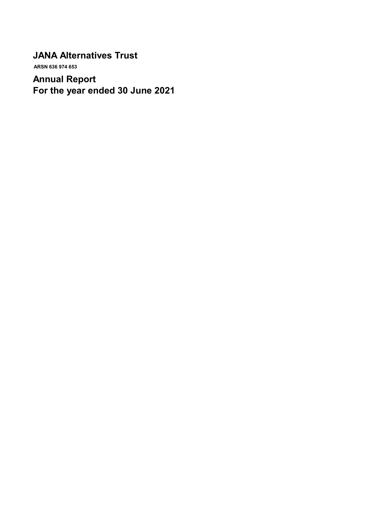# **JANA Alternatives Trust**

 **ARSN 636 974 653**

# **Annual Report For the year ended 30 June 2021**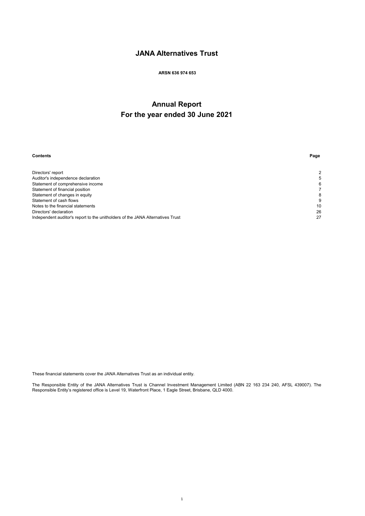# **JANA Alternatives Trust**

## **ARSN 636 974 653**

# **Annual Report For the year ended 30 June 2021**

| <b>Contents</b>                                                                | Page |
|--------------------------------------------------------------------------------|------|
| Directors' report                                                              | 2    |
| Auditor's independence declaration                                             | 5    |
| Statement of comprehensive income                                              | 6    |
| Statement of financial position                                                |      |
| Statement of changes in equity                                                 | 8    |
| Statement of cash flows                                                        | 9    |
| Notes to the financial statements                                              | 10   |
| Directors' declaration                                                         | 26   |
| Independent auditor's report to the unitholders of the JANA Alternatives Trust | 27   |

These financial statements cover the JANA Alternatives Trust as an individual entity.

The Responsible Entity of the JANA Alternatives Trust is Channel Investment Management Limited (ABN 22 163 234 240, AFSL 439007). The Responsible Entity's registered office is Level 19, Waterfront Place, 1 Eagle Street, Brisbane, QLD 4000.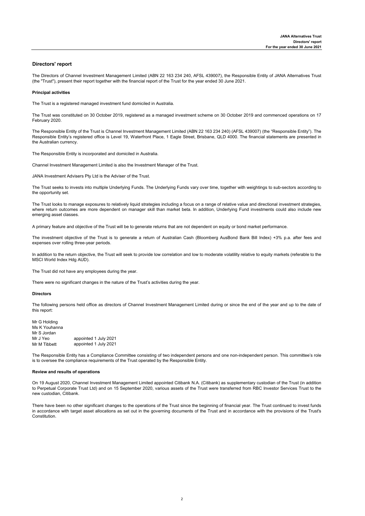## **Directors' report**

The Directors of Channel Investment Management Limited (ABN 22 163 234 240, AFSL 439007), the Responsible Entity of JANA Alternatives Trust (the "Trust"), present their report together with the financial report of the Trust for the year ended 30 June 2021.

#### **Principal activities**

The Trust is a registered managed investment fund domiciled in Australia.

The Trust was constituted on 30 October 2019, registered as a managed investment scheme on 30 October 2019 and commenced operations on 17 February 2020.

The Responsible Entity of the Trust is Channel Investment Management Limited (ABN 22 163 234 240) (AFSL 439007) (the "Responsible Entity"). The Responsible Entity's registered office is Level 19, Waterfront Place, 1 Eagle Street, Brisbane, QLD 4000. The financial statements are presented in the Australian currency.

The Responsible Entity is incorporated and domiciled in Australia.

Channel Investment Management Limited is also the Investment Manager of the Trust.

JANA Investment Advisers Pty Ltd is the Adviser of the Trust.

The Trust seeks to invests into multiple Underlying Funds. The Underlying Funds vary over time, together with weightings to sub-sectors according to the opportunity set.

The Trust looks to manage exposures to relatively liquid strategies including a focus on a range of relative value and directional investment strategies, where return outcomes are more dependent on manager skill than market beta. In addition, Underlying Fund investments could also include new emerging asset classes.

A primary feature and objective of the Trust will be to generate returns that are not dependent on equity or bond market performance.

The investment objective of the Trust is to generate a return of Australian Cash (Bloomberg AusBond Bank Bill Index) +3% p.a. after fees and expenses over rolling three-year periods.

In addition to the return objective, the Trust will seek to provide low correlation and low to moderate volatility relative to equity markets (referable to the MSCI World Index Hdg AUD).

The Trust did not have any employees during the year.

There were no significant changes in the nature of the Trust's activities during the year.

#### **Directors**

The following persons held office as directors of Channel Investment Management Limited during or since the end of the year and up to the date of this report:

Mr G Holding Ms K Youhanna Mr S Jordan<br>Mr J Yeo Mr J Yeo appointed 1 July 2021<br>Mr M Tibbett appointed 1 July 2021 appointed 1 July 2021

The Responsible Entity has a Compliance Committee consisting of two independent persons and one non-independent person. This committee's role is to oversee the compliance requirements of the Trust operated by the Responsible Entity.

#### **Review and results of operations**

On 19 August 2020, Channel Investment Management Limited appointed Citibank N.A. (Citibank) as supplementary custodian of the Trust (in addition to Perpetual Corporate Trust Ltd) and on 15 September 2020, various assets of the Trust were transferred from RBC Investor Services Trust to the new custodian, Citibank.

There have been no other significant changes to the operations of the Trust since the beginning of financial year. The Trust continued to invest funds in accordance with target asset allocations as set out in the governing documents of the Trust and in accordance with the provisions of the Trust's Constitution.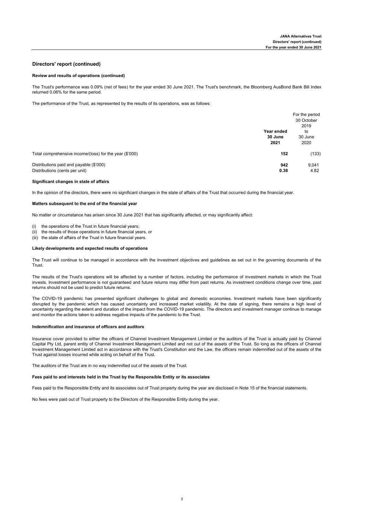### **Directors' report (continued)**

#### **Review and results of operations (continued)**

The Trust's performance was 0.09% (net of fees) for the year ended 30 June 2021. The Trust's benchmark, the Bloomberg AusBond Bank Bill Index returned 0.06% for the same period.

The performance of the Trust, as represented by the results of its operations, was as follows:

|                                                                           | Year ended<br>30 June<br>2021 | For the period<br>30 October<br>2019<br>to<br>30 June<br>2020 |
|---------------------------------------------------------------------------|-------------------------------|---------------------------------------------------------------|
| Total comprehensive income/(loss) for the year (\$'000)                   | 152                           | (133)                                                         |
| Distributions paid and payable (\$'000)<br>Distributions (cents per unit) | 942<br>0.38                   | 9,041<br>4.82                                                 |

#### **Significant changes in state of affairs**

In the opinion of the directors, there were no significant changes in the state of affairs of the Trust that occurred during the financial year.

#### **Matters subsequent to the end of the financial year**

No matter or circumstance has arisen since 30 June 2021 that has significantly affected, or may significantly affect:

- (i) the operations of the Trust in future financial years;
- (ii) the results of those operations in future financial years, or
- (iii) the state of affairs of the Trust in future financial years.

#### **Likely developments and expected results of operations**

The Trust will continue to be managed in accordance with the investment objectives and guidelines as set out in the governing documents of the Trust.

The results of the Trust's operations will be affected by a number of factors, including the performance of investment markets in which the Trust invests. Investment performance is not guaranteed and future returns may differ from past returns. As investment conditions change over time, past returns should not be used to predict future returns.

The COVID-19 pandemic has presented significant challenges to global and domestic economies. Investment markets have been significantly disrupted by the pandemic which has caused uncertainty and increased market volatility. At the date of signing, there remains a high level of uncertainty regarding the extent and duration of the impact from the COVID-19 pandemic. The directors and investment manager continue to manage and monitor the actions taken to address negative impacts of the pandemic to the Trust.

#### **Indemnification and insurance of officers and auditors**

Insurance cover provided to either the officers of Channel Investment Management Limited or the auditors of the Trust is actually paid by Channel Capital Pty Ltd, parent entity of Channel Investment Management Limited and not out of the assets of the Trust. So long as the officers of Channel Investment Management Limited act in accordance with the Trust's Constitution and the Law, the officers remain indemnified out of the assets of the Trust against losses incurred while acting on behalf of the Trust.

The auditors of the Trust are in no way indemnified out of the assets of the Trust.

#### **Fees paid to and interests held in the Trust by the Responsible Entity or its associates**

Fees paid to the Responsible Entity and its associates out of Trust property during the year are disclosed in Note 15 of the financial statements.

No fees were paid out of Trust property to the Directors of the Responsible Entity during the year.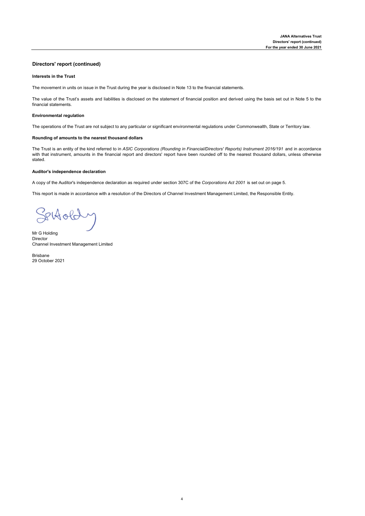## **Directors' report (continued)**

#### **lnterests in the Trust**

The movement in units on issue in the Trust during the year is disclosed in Note 13 to the financial statements.

The value of the Trust's assets and liabilities is disclosed on the statement of financial position and derived using the basis set out in Note 5 to the financial statements.

#### **Environmental regulation**

The operations of the Trust are not subject to any particular or significant environmental regulations under Commonwealth, State or Territory law.

#### **Rounding of amounts to the nearest thousand dollars**

The Trust is an entity of the kind referred to in *ASIC Corporations (Rounding in Financial/Directors' Reports) Instrument 2016/191* and in accordance with that instrument, amounts in the financial report and directors' report have been rounded off to the nearest thousand dollars, unless otherwise stated.

#### **Auditor's independence declaration**

A copy of the Auditor's independence declaration as required under section 307C of the *Corporations Act 2001* is set out on page 5.

This report is made in accordance with a resolution of the Directors of Channel Investment Management Limited, the Responsible Entity.

Settolde

Mr G Holding Director Channel Investment Management Limited

Brisbane 29 October 2021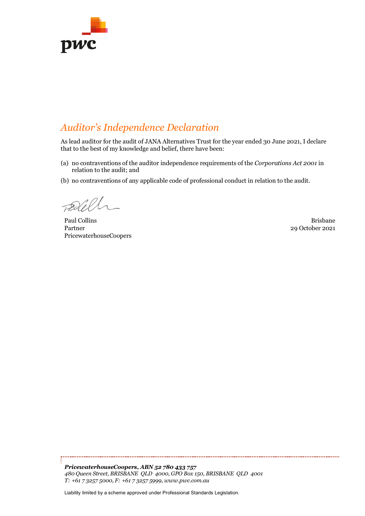

# *Auditor's Independence Declaration*

As lead auditor for the audit of JANA Alternatives Trust for the year ended 30 June 2021, I declare that to the best of my knowledge and belief, there have been:

- (a) no contraventions of the auditor independence requirements of the *Corporations Act 2001* in relation to the audit; and
- (b) no contraventions of any applicable code of professional conduct in relation to the audit.

Paul Collins **Brisbane** Partner PricewaterhouseCoopers

29 October 2021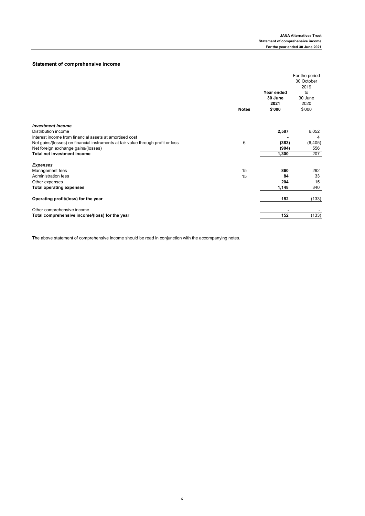## **Statement of comprehensive income**

| <b>Notes</b>                                                                          | Year ended<br>30 June<br>2021<br>\$'000 | For the period<br>30 October<br>2019<br>to<br>30 June<br>2020<br>\$'000 |
|---------------------------------------------------------------------------------------|-----------------------------------------|-------------------------------------------------------------------------|
| <b>Investment income</b>                                                              |                                         |                                                                         |
| Distribution income                                                                   | 2,587                                   | 6,052                                                                   |
| Interest income from financial assets at amortised cost                               |                                         | 4                                                                       |
| 6<br>Net gains/(losses) on financial instruments at fair value through profit or loss | (383)                                   | (6, 405)                                                                |
| Net foreign exchange gains/(losses)                                                   | (904)                                   | 556                                                                     |
| <b>Total net investment income</b>                                                    | 1,300                                   | 207                                                                     |
| <b>Expenses</b>                                                                       |                                         |                                                                         |
| 15<br>Management fees                                                                 | 860                                     | 292                                                                     |
| <b>Administration fees</b><br>15                                                      | 84                                      | 33                                                                      |
| Other expenses                                                                        | 204                                     | 15                                                                      |
| <b>Total operating expenses</b>                                                       | 1,148                                   | 340                                                                     |
| Operating profit/(loss) for the year                                                  | 152                                     | (133)                                                                   |
| Other comprehensive income                                                            |                                         |                                                                         |
| Total comprehensive income/(loss) for the year                                        | 152                                     | (133)                                                                   |

The above statement of comprehensive income should be read in conjunction with the accompanying notes.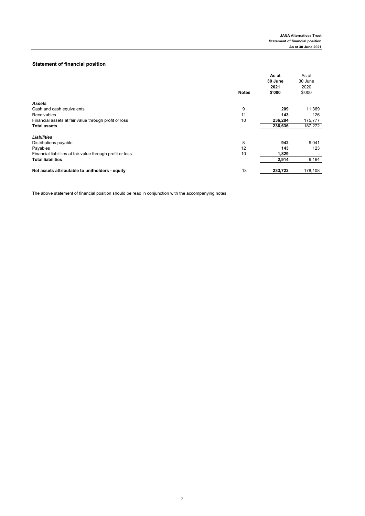## **Statement of financial position**

|                                                                  | As at<br>30 June | As at<br>30 June |
|------------------------------------------------------------------|------------------|------------------|
|                                                                  | 2021             | 2020             |
| <b>Notes</b>                                                     | \$'000           | \$'000           |
| <b>Assets</b>                                                    |                  |                  |
| 9<br>Cash and cash equivalents                                   | 209              | 11,369           |
| 11<br>Receivables                                                | 143              | 126              |
| 10<br>Financial assets at fair value through profit or loss      | 236,284          | 175,777          |
| <b>Total assets</b>                                              | 236,636          | 187,272          |
| <b>Liabilities</b>                                               |                  |                  |
| 8<br>Distributions payable                                       | 942              | 9,041            |
| Payables<br>12                                                   | 143              | 123              |
| 10<br>Financial liabilities at fair value through profit or loss | 1,829            |                  |
| <b>Total liabilities</b>                                         | 2,914            | 9,164            |
| 13<br>Net assets attributable to unitholders - equity            | 233,722          | 178,108          |

The above statement of financial position should be read in conjunction with the accompanying notes.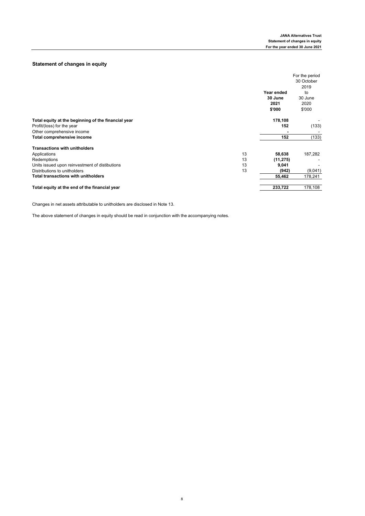## **Statement of changes in equity**

|                                                     |    |                           | For the period            |
|-----------------------------------------------------|----|---------------------------|---------------------------|
|                                                     |    |                           | 30 October                |
|                                                     |    |                           | 2019                      |
|                                                     |    | Year ended                | to                        |
|                                                     |    | 30 June<br>2021<br>\$'000 | 30 June<br>2020<br>\$'000 |
| Total equity at the beginning of the financial year |    | 178,108                   |                           |
| Profit/(loss) for the year                          |    | 152                       | (133)                     |
| Other comprehensive income                          |    |                           |                           |
| Total comprehensive income                          |    | 152                       | (133)                     |
| <b>Transactions with unitholders</b>                |    |                           |                           |
| Applications                                        | 13 | 58,638                    | 187,282                   |
| Redemptions                                         | 13 | (11, 275)                 |                           |
| Units issued upon reinvestment of distibutions      | 13 | 9,041                     |                           |
| Distributions to unitholders                        | 13 | (942)                     | (9,041)                   |
| <b>Total transactions with unitholders</b>          |    | 55,462                    | 178,241                   |
| Total equity at the end of the financial year       |    | 233,722                   | 178,108                   |

Changes in net assets attributable to unitholders are disclosed in Note 13.

The above statement of changes in equity should be read in conjunction with the accompanying notes.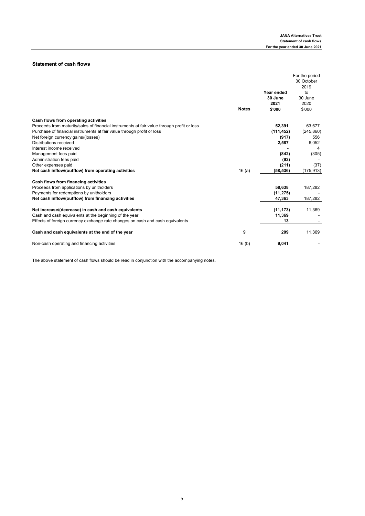## **Statement of cash flows**

|                                                                                            |                   |            | For the period |
|--------------------------------------------------------------------------------------------|-------------------|------------|----------------|
|                                                                                            |                   |            | 30 October     |
|                                                                                            |                   |            | 2019           |
|                                                                                            |                   | Year ended | to             |
|                                                                                            |                   | 30 June    | 30 June        |
|                                                                                            |                   | 2021       | 2020           |
|                                                                                            | <b>Notes</b>      | \$'000     | \$'000         |
| Cash flows from operating activities                                                       |                   |            |                |
| Proceeds from maturity/sales of financial instruments at fair value through profit or loss |                   | 52,391     | 63,677         |
| Purchase of financial instruments at fair value through profit or loss                     |                   | (111, 452) | (245, 860)     |
| Net foreign currency gains/(losses)                                                        |                   | (917)      | 556            |
| <b>Distributions received</b>                                                              |                   | 2,587      | 6,052          |
| Interest income received                                                                   |                   |            | 4              |
| Management fees paid                                                                       |                   | (842)      | (305)          |
| Administration fees paid                                                                   |                   | (92)       |                |
| Other expenses paid                                                                        |                   | (211)      | (37)           |
| Net cash inflow/(outflow) from operating activities                                        | 16(a)             | (58, 536)  | (175, 913)     |
| Cash flows from financing activities                                                       |                   |            |                |
| Proceeds from applications by unitholders                                                  |                   | 58,638     | 187,282        |
| Payments for redemptions by unitholders                                                    |                   | (11, 275)  |                |
| Net cash inflow/(outflow) from financing activities                                        |                   | 47,363     | 187,282        |
| Net increase/(decrease) in cash and cash equivalents                                       |                   | (11, 173)  | 11,369         |
| Cash and cash equivalents at the beginning of the year                                     |                   | 11,369     |                |
| Effects of foreign currency exchange rate changes on cash and cash equivalents             |                   | 13         |                |
| Cash and cash equivalents at the end of the year                                           | 9                 | 209        | 11,369         |
| Non-cash operating and financing activities                                                | 16 <sub>(b)</sub> | 9,041      |                |

The above statement of cash flows should be read in conjunction with the accompanying notes.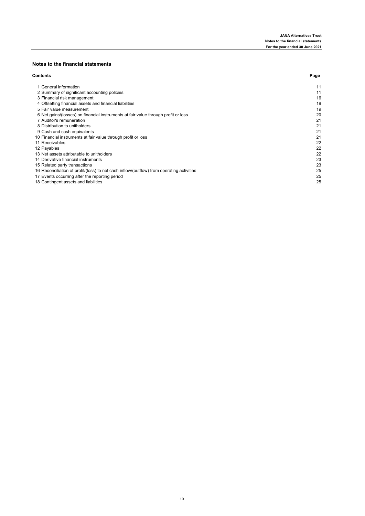## **Notes to the financial statements**

| <b>Contents</b>                                                                           | Page |
|-------------------------------------------------------------------------------------------|------|
| 1 General information                                                                     | 11   |
| 2 Summary of significant accounting policies                                              | 11   |
| 3 Financial risk management                                                               | 16   |
| 4 Offsetting financial assets and financial liabilities                                   | 19   |
| 5 Fair value measurement                                                                  | 19   |
| 6 Net gains/(losses) on financial instruments at fair value through profit or loss        | 20   |
| 7 Auditor's remuneration                                                                  | 21   |
| 8 Distribution to unitholders                                                             | 21   |
| 9 Cash and cash equivalents                                                               | 21   |
| 10 Financial instruments at fair value through profit or loss                             | 21   |
| 11 Receivables                                                                            | 22   |
| 12 Payables                                                                               | 22   |
| 13 Net assets attributable to unitholders                                                 | 22   |
| 14 Derivative financial instruments                                                       | 23   |
| 15 Related party transactions                                                             | 23   |
| 16 Reconciliation of profit/(loss) to net cash inflow/(outflow) from operating activities | 25   |
| 17 Events occurring after the reporting period                                            | 25   |
| 18 Contingent assets and liabilities                                                      | 25   |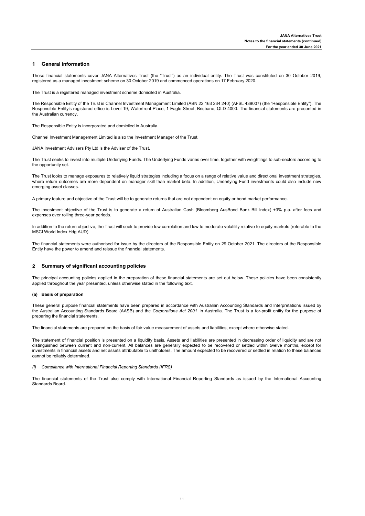#### **1 General information**

These financial statements cover JANA Alternatives Trust (the "Trust") as an individual entity. The Trust was constituted on 30 October 2019, registered as a managed investment scheme on 30 October 2019 and commenced operations on 17 February 2020.

The Trust is a registered managed investment scheme domiciled in Australia.

The Responsible Entity of the Trust is Channel Investment Management Limited (ABN 22 163 234 240) (AFSL 439007) (the "Responsible Entity"). The Responsible Entity's registered office is Level 19, Waterfront Place, 1 Eagle Street, Brisbane, QLD 4000. The financial statements are presented in the Australian currency.

The Responsible Entity is incorporated and domiciled in Australia.

Channel Investment Management Limited is also the Investment Manager of the Trust.

JANA Investment Advisers Pty Ltd is the Adviser of the Trust.

The Trust seeks to invest into multiple Underlying Funds. The Underlying Funds varies over time, together with weightings to sub-sectors according to the opportunity set.

The Trust looks to manage exposures to relatively liquid strategies including a focus on a range of relative value and directional investment strategies, where return outcomes are more dependent on manager skill than market beta. In addition, Underlying Fund investments could also include new emerging asset classes.

A primary feature and objective of the Trust will be to generate returns that are not dependent on equity or bond market performance.

The investment objective of the Trust is to generate a return of Australian Cash (Bloomberg AusBond Bank Bill Index) +3% p.a. after fees and expenses over rolling three-year periods.

In addition to the return objective, the Trust will seek to provide low correlation and low to moderate volatility relative to equity markets (referable to the MSCI World Index Hdg AUD).

The financial statements were authorised for issue by the directors of the Responsible Entity on 29 October 2021. The directors of the Responsible Entity have the power to amend and reissue the financial statements.

### **2 Summary of significant accounting policies**

The principal accounting policies applied in the preparation of these financial statements are set out below. These policies have been consistently applied throughout the year presented, unless otherwise stated in the following text.

#### **(a) Basis of preparation**

These general purpose financial statements have been prepared in accordance with Australian Accounting Standards and Interpretations issued by the Australian Accounting Standards Board (AASB) and the *Corporations Act 2001* in Australia. The Trust is a for-profit entity for the purpose of preparing the financial statements.

The financial statements are prepared on the basis of fair value measurement of assets and liabilities, except where otherwise stated.

The statement of financial position is presented on a liquidity basis. Assets and liabilities are presented in decreasing order of liquidity and are not distinguished between current and non‑current. All balances are generally expected to be recovered or settled within twelve months, except for investments in financial assets and net assets attributable to unitholders. The amount expected to be recovered or settled in relation to these balances cannot be reliably determined.

#### *(i) Compliance with International Financial Reporting Standards (IFRS)*

The financial statements of the Trust also comply with International Financial Reporting Standards as issued by the International Accounting Standards Board.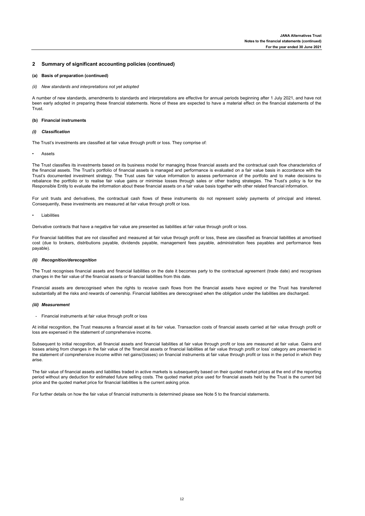#### **(a) Basis of preparation (continued)**

*(ii) New standards and interpretations not yet adopted*

A number of new standards, amendments to standards and interpretations are effective for annual periods beginning after 1 July 2021, and have not been early adopted in preparing these financial statements. None of these are expected to have a material effect on the financial statements of the **Trust** 

#### **(b) Financial instruments**

#### *(i) Classification*

The Trust's investments are classified at fair value through profit or loss. They comprise of:

#### • Assets

The Trust classifies its investments based on its business model for managing those financial assets and the contractual cash flow characteristics of the financial assets. The Trust's portfolio of financial assets is managed and performance is evaluated on a fair value basis in accordance with the Trust's documented investment strategy. The Trust uses fair value information to assess performance of the portfolio and to make decisions to rebalance the portfolio or to realise fair value gains or minimise losses through sales or other trading strategies. The Trust's policy is for the Responsible Entity to evaluate the information about these financial assets on a fair value basis together with other related financial information.

For unit trusts and derivatives, the contractual cash flows of these instruments do not represent solely payments of principal and interest. Consequently, these investments are measured at fair value through profit or loss.

#### • Liabilities

Derivative contracts that have a negative fair value are presented as liabilities at fair value through profit or loss.

For financial liabilities that are not classified and measured at fair value through profit or loss, these are classified as financial liabilities at amortised cost (due to brokers, distributions payable, dividends payable, management fees payable, administration fees payables and performance fees payable).

#### *(ii) Recognition/derecognition*

The Trust recognises financial assets and financial liabilities on the date it becomes party to the contractual agreement (trade date) and recognises changes in the fair value of the financial assets or financial liabilities from this date.

Financial assets are derecognised when the rights to receive cash flows from the financial assets have expired or the Trust has transferred substantially all the risks and rewards of ownership. Financial liabilities are derecognised when the obligation under the liabilities are discharged.

#### *(iii) Measurement*

- Financial instruments at fair value through profit or loss

At initial recognition, the Trust measures a financial asset at its fair value. Transaction costs of financial assets carried at fair value through profit or loss are expensed in the statement of comprehensive income.

Subsequent to initial recognition, all financial assets and financial liabilities at fair value through profit or loss are measured at fair value. Gains and losses arising from changes in the fair value of the 'financial assets or financial liabilities at fair value through profit or loss' category are presented in the statement of comprehensive income within net gains/(losses) on financial instruments at fair value through profit or loss in the period in which they arise.

The fair value of financial assets and liabilities traded in active markets is subsequently based on their quoted market prices at the end of the reporting period without any deduction for estimated future selling costs. The quoted market price used for financial assets held by the Trust is the current bid price and the quoted market price for financial liabilities is the current asking price.

For further details on how the fair value of financial instruments is determined please see Note 5 to the financial statements.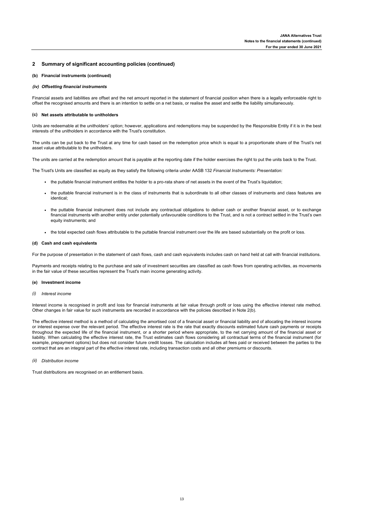#### **(b) Financial instruments (continued)**

#### *(iv) Offsetting financial instruments*

Financial assets and liabilities are offset and the net amount reported in the statement of financial position when there is a legally enforceable right to offset the recognised amounts and there is an intention to settle on a net basis, or realise the asset and settle the liability simultaneously.

#### **(c) Net assets attributable to unitholders**

Units are redeemable at the unitholders' option; however, applications and redemptions may be suspended by the Responsible Entity if it is in the best interests of the unitholders in accordance with the Trust's constitution.

The units can be put back to the Trust at any time for cash based on the redemption price which is equal to a proportionate share of the Trust's net asset value attributable to the unitholders.

The units are carried at the redemption amount that is payable at the reporting date if the holder exercises the right to put the units back to the Trust.

The Trust's Units are classified as equity as they satisfy the following criteria under AASB 132 *Financial Instruments: Presentation:*

- **·** the puttable financial instrument entitles the holder to a pro-rata share of net assets in the event of the Trust's liquidation;
- the puttable financial instrument is in the class of instruments that is subordinate to all other classes of instruments and class features are identical;
- the puttable financial instrument does not include any contractual obligations to deliver cash or another financial asset, or to exchange financial instruments with another entity under potentially unfavourable conditions to the Trust, and is not a contract settled in the Trust's own equity instruments; and
- **·** the total expected cash flows attributable to the puttable financial instrument over the life are based substantially on the profit or loss.

#### **(d) Cash and cash equivalents**

For the purpose of presentation in the statement of cash flows, cash and cash equivalents includes cash on hand held at call with financial institutions.

Payments and receipts relating to the purchase and sale of investment securities are classified as cash flows from operating activities, as movements in the fair value of these securities represent the Trust's main income generating activity.

#### **(e) Investment income**

*(i) Interest income*

Interest income is recognised in profit and loss for financial instruments at fair value through profit or loss using the effective interest rate method. Other changes in fair value for such instruments are recorded in accordance with the policies described in Note 2(b).

The effective interest method is a method of calculating the amortised cost of a financial asset or financial liability and of allocating the interest income or interest expense over the relevant period. The effective interest rate is the rate that exactly discounts estimated future cash payments or receipts throughout the expected life of the financial instrument, or a shorter period where appropriate, to the net carrying amount of the financial asset or liability. When calculating the effective interest rate, the Trust estimates cash flows considering all contractual terms of the financial instrument (for example, prepayment options) but does not consider future credit losses. The calculation includes all fees paid or received between the parties to the contract that are an integral part of the effective interest rate, including transaction costs and all other premiums or discounts.

#### *(ii) Distribution income*

Trust distributions are recognised on an entitlement basis.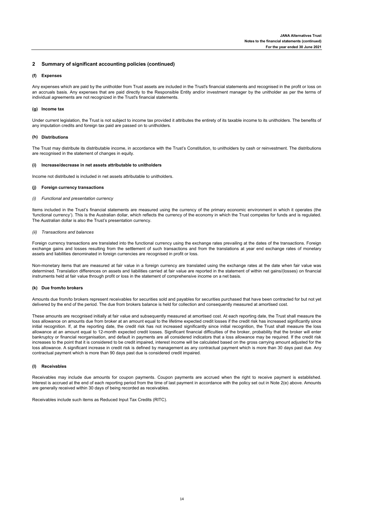#### **(f) Expenses**

Any expenses which are paid by the unitholder from Trust assets are included in the Trust's financial statements and recognised in the profit or loss on an accruals basis. Any expenses that are paid directly to the Responsible Entity and/or investment manager by the unitholder as per the terms of individual agreements are not recognized in the Trust's financial statements.

#### **(g) Income tax**

Under current legislation, the Trust is not subject to income tax provided it attributes the entirety of its taxable income to its unitholders. The benefits of any imputation credits and foreign tax paid are passed on to unitholders.

#### **(h) Distributions**

The Trust may distribute its distributable income, in accordance with the Trust's Constitution, to unitholders by cash or reinvestment. The distributions are recognised in the statement of changes in equity.

#### **(i) Increase/decrease in net assets attributable to unitholders**

Income not distributed is included in net assets attributable to unitholders.

#### **(j) Foreign currency transactions**

#### *(i) Functional and presentation currency*

Items included in the Trust's financial statements are measured using the currency of the primary economic environment in which it operates (the 'functional currency'). This is the Australian dollar, which reflects the currency of the economy in which the Trust competes for funds and is regulated. The Australian dollar is also the Trust's presentation currency.

#### *(ii) Transactions and balances*

Foreign currency transactions are translated into the functional currency using the exchange rates prevailing at the dates of the transactions. Foreign exchange gains and losses resulting from the settlement of such transactions and from the translations at year end exchange rates of monetary assets and liabilities denominated in foreign currencies are recognised in profit or loss.

Non-monetary items that are measured at fair value in a foreign currency are translated using the exchange rates at the date when fair value was determined. Translation differences on assets and liabilities carried at fair value are reported in the statement of within net gains/(losses) on financial instruments held at fair value through profit or loss in the statement of comprehensive income on a net basis.

#### **(k) Due from/to brokers**

Amounts due from/to brokers represent receivables for securities sold and payables for securities purchased that have been contracted for but not yet delivered by the end of the period. The due from brokers balance is held for collection and consequently measured at amortised cost.

These amounts are recognised initially at fair value and subsequently measured at amortised cost. At each reporting date, the Trust shall measure the loss allowance on amounts due from broker at an amount equal to the lifetime expected credit losses if the credit risk has increased significantly since initial recognition. If, at the reporting date, the credit risk has not increased significantly since initial recognition, the Trust shall measure the loss allowance at an amount equal to 12-month expected credit losses. Significant financial difficulties of the broker, probability that the broker will enter bankruptcy or financial reorganisation, and default in payments are all considered indicators that a loss allowance may be required. If the credit risk increases to the point that it is considered to be credit impaired, interest income will be calculated based on the gross carrying amount adjusted for the loss allowance. A significant increase in credit risk is defined by management as any contractual payment which is more than 30 days past due. Any contractual payment which is more than 90 days past due is considered credit impaired.

#### **(l) Receivables**

Receivables may include due amounts for coupon payments. Coupon payments are accrued when the right to receive payment is established. Interest is accrued at the end of each reporting period from the time of last payment in accordance with the policy set out in Note 2(e) above. Amounts are generally received within 30 days of being recorded as receivables.

Receivables include such items as Reduced Input Tax Credits (RITC).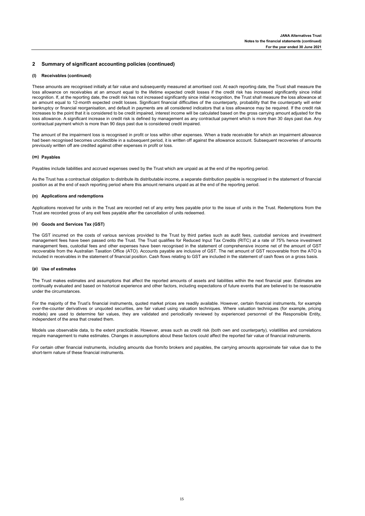#### **(l) Receivables (continued)**

These amounts are recognised initially at fair value and subsequently measured at amortised cost. At each reporting date, the Trust shall measure the loss allowance on receivables at an amount equal to the lifetime expected credit losses if the credit risk has increased significantly since initial recognition. If, at the reporting date, the credit risk has not increased significantly since initial recognition, the Trust shall measure the loss allowance at an amount equal to 12-month expected credit losses. Significant financial difficulties of the counterparty, probability that the counterparty will enter bankruptcy or financial reorganisation, and default in payments are all considered indicators that a loss allowance may be required. If the credit risk increases to the point that it is considered to be credit impaired, interest income will be calculated based on the gross carrying amount adjusted for the loss allowance. A significant increase in credit risk is defined by management as any contractual payment which is more than 30 days past due. Any contractual payment which is more than 90 days past due is considered credit impaired.

The amount of the impairment loss is recognised in profit or loss within other expenses. When a trade receivable for which an impairment allowance had been recognised becomes uncollectible in a subsequent period, it is written off against the allowance account. Subsequent recoveries of amounts previously written off are credited against other expenses in profit or loss.

#### **(m) Payables**

Payables include liabilities and accrued expenses owed by the Trust which are unpaid as at the end of the reporting period.

As the Trust has a contractual obligation to distribute its distributable income, a separate distribution payable is recognised in the statement of financial position as at the end of each reporting period where this amount remains unpaid as at the end of the reporting period.

#### **(n) Applications and redemptions**

Applications received for units in the Trust are recorded net of any entry fees payable prior to the issue of units in the Trust. Redemptions from the Trust are recorded gross of any exit fees payable after the cancellation of units redeemed.

#### **(o) Goods and Services Tax (GST)**

The GST incurred on the costs of various services provided to the Trust by third parties such as audit fees, custodial services and investment management fees have been passed onto the Trust. The Trust qualifies for Reduced Input Tax Credits (RITC) at a rate of 75% hence investment management fees, custodial fees and other expenses have been recognised in the statement of comprehensive income net of the amount of GST recoverable from the Australian Taxation Office (ATO). Accounts payable are inclusive of GST. The net amount of GST recoverable from the ATO is included in receivables in the statement of financial position. Cash flows relating to GST are included in the statement of cash flows on a gross basis.

#### **(p) Use of estimates**

The Trust makes estimates and assumptions that affect the reported amounts of assets and liabilities within the next financial year. Estimates are continually evaluated and based on historical experience and other factors, including expectations of future events that are believed to be reasonable under the circumstances.

For the majority of the Trust's financial instruments, quoted market prices are readily available. However, certain financial instruments, for example over-the-counter derivatives or unquoted securities, are fair valued using valuation techniques. Where valuation techniques (for example, pricing models) are used to determine fair values, they are validated and periodically reviewed by experienced personnel of the Responsible Entity, independent of the area that created them.

Models use observable data, to the extent practicable. However, areas such as credit risk (both own and counterparty), volatilities and correlations require management to make estimates. Changes in assumptions about these factors could affect the reported fair value of financial instruments.

For certain other financial instruments, including amounts due from/to brokers and payables, the carrying amounts approximate fair value due to the short-term nature of these financial instruments.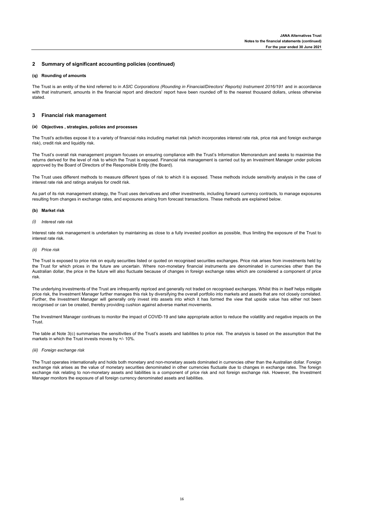#### **(q) Rounding of amounts**

The Trust is an entity of the kind referred to in *ASIC Corporations (Rounding in Financial/Directors' Reports) Instrument 2016/191* and in accordance with that instrument, amounts in the financial report and directors' report have been rounded off to the nearest thousand dollars, unless otherwise stated.

#### **3 Financial risk management**

#### **(a) Objectives , strategies, policies and processes**

The Trust's activities expose it to a variety of financial risks including market risk (which incorporates interest rate risk, price risk and foreign exchange risk), credit risk and liquidity risk.

The Trust's overall risk management program focuses on ensuring compliance with the Trust's Information Memorandum and seeks to maximise the returns derived for the level of risk to which the Trust is exposed. Financial risk management is carried out by an Investment Manager under policies approved by the Board of Directors of the Responsible Entity (the Board).

The Trust uses different methods to measure different types of risk to which it is exposed. These methods include sensitivity analysis in the case of interest rate risk and ratings analysis for credit risk.

As part of its risk management strategy, the Trust uses derivatives and other investments, including forward currency contracts, to manage exposures resulting from changes in exchange rates, and exposures arising from forecast transactions. These methods are explained below.

#### **(b) Market risk**

*(i) Interest rate risk*

Interest rate risk management is undertaken by maintaining as close to a fully invested position as possible, thus limiting the exposure of the Trust to interest rate risk.

*(ii) Price risk*

The Trust is exposed to price risk on equity securities listed or quoted on recognised securities exchanges. Price risk arises from investments held by the Trust for which prices in the future are uncertain. Where non-monetary financial instruments are denominated in currencies other than the Australian dollar, the price in the future will also fluctuate because of changes in foreign exchange rates which are considered a component of price risk.

The underlying investments of the Trust are infrequently repriced and generally not traded on recognised exchanges. Whilst this in itself helps mitigate price risk, the Investment Manager further manages this risk by diversifying the overall portfolio into markets and assets that are not closely correlated. Further, the Investment Manager will generally only invest into assets into which it has formed the view that upside value has either not been recognised or can be created, thereby providing cushion against adverse market movements.

The Investment Manager continues to monitor the impact of COVID-19 and take appropriate action to reduce the volatility and negative impacts on the Trust.

The table at Note 3(c) summarises the sensitivities of the Trust's assets and liabilities to price risk. The analysis is based on the assumption that the markets in which the Trust invests moves by +/- 10%.

#### *(iii) Foreign exchange risk*

The Trust operates internationally and holds both monetary and non-monetary assets dominated in currencies other than the Australian dollar. Foreign exchange risk arises as the value of monetary securities denominated in other currencies fluctuate due to changes in exchange rates. The foreign exchange risk relating to non-monetary assets and liabilities is a component of price risk and not foreign exchange risk. However, the Investment Manager monitors the exposure of all foreign currency denominated assets and liabilities.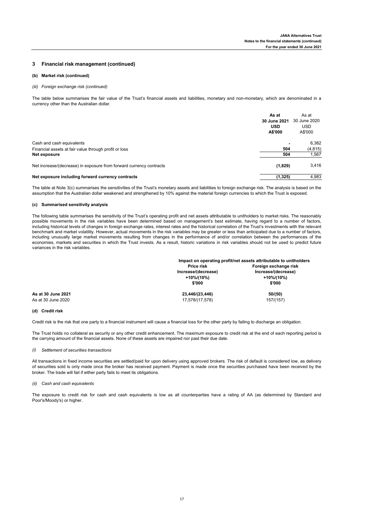#### **3 Financial risk management (continued)**

#### **(b) Market risk (continued)**

#### *(iii) Foreign exchange risk (continued)*

The table below summarises the fair value of the Trust's financial assets and liabilities, monetary and non-monetary, which are denominated in a currency other than the Australian dollar.

|                                                                     | As at<br>30 June 2021<br><b>USD</b><br>A\$'000 | As at<br>30 June 2020<br><b>USD</b><br>A\$'000 |
|---------------------------------------------------------------------|------------------------------------------------|------------------------------------------------|
| Cash and cash equivalents                                           | $\blacksquare$                                 | 6,382                                          |
| Financial assets at fair value through profit or loss               | 504                                            | (4, 815)                                       |
| Net exposure                                                        | 504                                            | 1,567                                          |
| Net increase/(decrease) in exposure from forward currency contracts | (1,829)                                        | 3,416                                          |
| Net exposure including forward currency contracts                   | (1, 325)                                       | 4,983                                          |

The table at Note 3(c) summarises the sensitivities of the Trust's monetary assets and liabilities to foreign exchange risk. The analysis is based on the assumption that the Australian dollar weakened and strengthened by 10% against the material foreign currencies to which the Trust is exposed.

#### **(c) Summarised sensitivity analysis**

The following table summarises the sensitivity of the Trust's operating profit and net assets attributable to unitholders to market risks. The reasonably possible movements in the risk variables have been determined based on management's best estimate, having regard to a number of factors, including historical levels of changes in foreign exchange rates, interest rates and the historical correlation of the Trust's investments with the relevant benchmark and market volatility. However, actual movements in the risk variables may be greater or less than anticipated due to a number of factors, including unusually large market movements resulting from changes in the performance of and/or correlation between the performances of the economies, markets and securities in which the Trust invests. As a result, historic variations in risk variables should not be used to predict future variances in the risk variables.

|                    |                                   | Impact on operating profit/net assets attributable to unitholders |
|--------------------|-----------------------------------|-------------------------------------------------------------------|
|                    | Price risk                        | Foreign exchange risk                                             |
|                    | Increase/(decrease)<br>+10%/(10%) | Increase/(decrease)<br>+10%/(10%)                                 |
|                    | \$'000                            | \$'000                                                            |
| As at 30 June 2021 | 23,446/(23,446)                   | 50/(50)                                                           |
| As at 30 June 2020 | 17,578/(17,578)                   | 157/(157)                                                         |

#### **(d) Credit risk**

Credit risk is the risk that one party to a financial instrument will cause a financial loss for the other party by failing to discharge an obligation.

The Trust holds no collateral as security or any other credit enhancement. The maximum exposure to credit risk at the end of each reporting period is the carrying amount of the financial assets. None of these assets are impaired nor past their due date.

#### *(i) Settlement of securities transactions*

All transactions in fixed income securities are settled/paid for upon delivery using approved brokers. The risk of default is considered low, as delivery of securities sold is only made once the broker has received payment. Payment is made once the securities purchased have been received by the broker. The trade will fail if either party fails to meet its obligations.

#### *(ii) Cash and cash equivalents*

The exposure to credit risk for cash and cash equivalents is low as all counterparties have a rating of AA (as determined by Standard and Poor's/Moody's) or higher.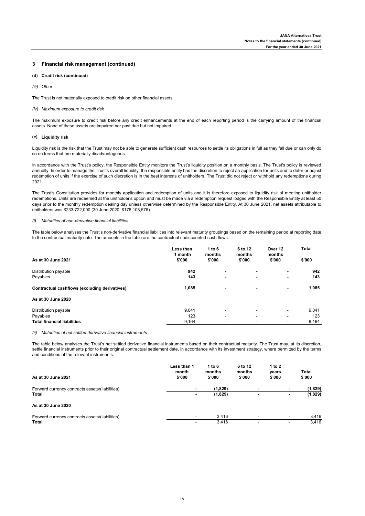#### **3 Financial risk management (continued)**

- **(d) Credit risk (continued)**
- *(iii) Other*

The Trust is not materially exposed to credit risk on other financial assets.

#### *(iv) Maximum exposure to credit risk*

The maximum exposure to credit risk before any credit enhancements at the end of each reporting period is the carrying amount of the financial assets. None of these assets are impaired nor past due but not impaired.

#### **(e) Liquidity risk**

Liquidity risk is the risk that the Trust may not be able to generate sufficient cash resources to settle its obligations in full as they fall due or can only do so on terms that are materially disadvantageous.

In accordance with the Trust's policy, the Responsible Entity monitors the Trust's liquidity position on a monthly basis. The Trust's policy is reviewed annually. In order to manage the Trust's overall liquidity, the responsible entity has the discretion to reject an application for units and to defer or adjust redemption of units if the exercise of such discretion is in the best interests of unitholders. The Trust did not reject or withhold any redemptions during 2021.

The Trust's Constitution provides for monthly application and redemption of units and it is therefore exposed to liquidity risk of meeting unitholder redemptions. Units are redeemed at the unitholder's option and must be made via a redemption request lodged with the Responsible Entity at least 50 days prior to the monthly redemption dealing day unless otherwise determined by the Responsible Entity. At 30 June 2021, net assets attributable to unitholders was \$233,722,000 (30 June 2020: \$178,108,576).

#### *(i) Maturities of non-derivative financial liabilities*

The table below analyses the Trust's non-derivative financial liabilities into relevant maturity groupings based on the remaining period at reporting date to the contractual maturity date. The amounts in the table are the contractual undiscounted cash flows.

| As at 30 June 2021                            | Less than<br>1 month<br>\$'000 | 1 to $6$<br>months<br>\$'000 | 6 to 12<br>months<br>\$'000 | Over 12<br>months<br>\$'000 | <b>Total</b><br>\$'000 |
|-----------------------------------------------|--------------------------------|------------------------------|-----------------------------|-----------------------------|------------------------|
| Distribution payable                          | 942                            |                              |                             |                             | 942                    |
| Payables                                      | 143                            | -                            | -                           | ٠                           | 143                    |
| Contractual cashflows (excluding derivatives) | 1,085                          | ٠                            | -                           | ۰                           | 1,085                  |
| As at 30 June 2020                            |                                |                              |                             |                             |                        |
| Distribution payable                          | 9,041                          |                              | -                           | ۰                           | 9,041                  |
| Payables                                      | 123                            | -                            | -                           | ٠                           | 123                    |
| <b>Total financial liabilities</b>            | 9,164                          | -                            | -                           | ٠                           | 9,164                  |

#### *(ii) Maturities of net settled derivative financial instruments*

The table below analyses the Trust's net settled derivative financial instruments based on their contractual maturity. The Trust may, at its discretion, settle financial instruments prior to their original contractual settlement date, in accordance with its investment strategy, where permitted by the terms and conditions of the relevant instruments.

| As at 30 June 2021                                       | Less than 1<br>month<br>\$'000 | 1 to $6$<br>months<br>\$'000 | 6 to 12<br>months<br>\$'000 | 1 to 2<br>years<br>\$'000 |                          | <b>Total</b><br>\$'000 |
|----------------------------------------------------------|--------------------------------|------------------------------|-----------------------------|---------------------------|--------------------------|------------------------|
| Forward currency contracts assets/(liabilities)<br>Total | ۰                              | (1,829)                      | $\blacksquare$              |                           | ۰                        | (1,829)                |
|                                                          |                                | (1,829)                      |                             |                           |                          | (1,829)                |
| As at 30 June 2020                                       |                                |                              |                             |                           |                          |                        |
| Forward currency contracts assets/(liabilities)          | $\overline{\phantom{a}}$       | 3.416                        | ۰                           |                           | $\overline{\phantom{a}}$ | 3,416                  |
| Total                                                    |                                | 3.416                        |                             |                           | $\overline{\phantom{a}}$ | 3,416                  |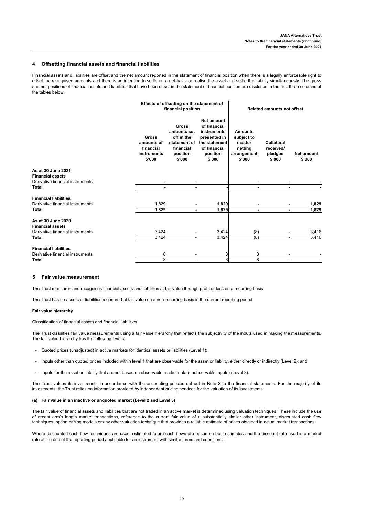### **4 Offsetting financial assets and financial liabilities**

Financial assets and liabilities are offset and the net amount reported in the statement of financial position when there is a legally enforceable right to offset the recognised amounts and there is an intention to settle on a net basis or realise the asset and settle the liability simultaneously. The gross and net positions of financial assets and liabilities that have been offset in the statement of financial position are disclosed in the first three columns of the tables below.

|                                               | Effects of offsetting on the statement of<br>financial position |                                                                                              |                                                                                                                  | <b>Related amounts not offset</b>                                          |                                                     |                             |
|-----------------------------------------------|-----------------------------------------------------------------|----------------------------------------------------------------------------------------------|------------------------------------------------------------------------------------------------------------------|----------------------------------------------------------------------------|-----------------------------------------------------|-----------------------------|
|                                               | Gross<br>amounts of<br>financial<br>instruments<br>\$'000       | <b>Gross</b><br>amounts set<br>off in the<br>statement of<br>financial<br>position<br>\$'000 | Net amount<br>of financial<br>instruments<br>presented in<br>the statement<br>of financial<br>position<br>\$'000 | <b>Amounts</b><br>subject to<br>master<br>netting<br>arrangement<br>\$'000 | <b>Collateral</b><br>received/<br>pledged<br>\$'000 | <b>Net amount</b><br>\$'000 |
| As at 30 June 2021<br><b>Financial assets</b> |                                                                 |                                                                                              |                                                                                                                  |                                                                            |                                                     |                             |
| Derivative financial instruments              |                                                                 |                                                                                              |                                                                                                                  |                                                                            |                                                     |                             |
| <b>Total</b>                                  | ٠                                                               | ٠                                                                                            |                                                                                                                  |                                                                            |                                                     |                             |
| <b>Financial liabilities</b>                  |                                                                 |                                                                                              |                                                                                                                  |                                                                            |                                                     |                             |
| Derivative financial instruments              | 1,829                                                           | $\overline{\phantom{0}}$                                                                     | 1,829                                                                                                            |                                                                            | ٠                                                   | 1,829                       |
| <b>Total</b>                                  | 1,829                                                           | ٠                                                                                            | 1,829                                                                                                            | $\blacksquare$                                                             | ٠                                                   | 1,829                       |
| As at 30 June 2020<br><b>Financial assets</b> |                                                                 |                                                                                              |                                                                                                                  |                                                                            |                                                     |                             |
| Derivative financial instruments              | 3,424                                                           |                                                                                              | 3,424                                                                                                            | (8)                                                                        |                                                     | 3,416                       |
| <b>Total</b>                                  | 3,424                                                           | $\blacksquare$                                                                               | 3,424                                                                                                            | (8)                                                                        | $\blacksquare$                                      | 3,416                       |
| <b>Financial liabilities</b>                  |                                                                 |                                                                                              |                                                                                                                  |                                                                            |                                                     |                             |
| Derivative financial instruments              | 8                                                               |                                                                                              | 8                                                                                                                | 8                                                                          |                                                     |                             |
| <b>Total</b>                                  | 8                                                               |                                                                                              | 8                                                                                                                | 8                                                                          |                                                     |                             |

#### **5 Fair value measurement**

The Trust measures and recognises financial assets and liabilities at fair value through profit or loss on a recurring basis.

The Trust has no assets or liabilities measured at fair value on a non-recurring basis in the current reporting period.

#### **Fair value hierarchy**

Classification of financial assets and financial liabilities

The Trust classifies fair value measurements using a fair value hierarchy that reflects the subjectivity of the inputs used in making the measurements. The fair value hierarchy has the following levels:

- Quoted prices (unadjusted) in active markets for identical assets or liabilities (Level 1);
- Inputs other than quoted prices included within level 1 that are observable for the asset or liability, either directly or indirectly (Level 2); and
- Inputs for the asset or liability that are not based on observable market data (unobservable inputs) (Level 3).

The Trust values its investments in accordance with the accounting policies set out in Note 2 to the financial statements. For the majority of its investments, the Trust relies on information provided by independent pricing services for the valuation of its investments.

#### **(a) Fair value in an inactive or unquoted market (Level 2 and Level 3)**

The fair value of financial assets and liabilities that are not traded in an active market is determined using valuation techniques. These include the use of recent arm's length market transactions, reference to the current fair value of a substantially similar other instrument, discounted cash flow techniques, option pricing models or any other valuation technique that provides a reliable estimate of prices obtained in actual market transactions.

Where discounted cash flow techniques are used, estimated future cash flows are based on best estimates and the discount rate used is a market rate at the end of the reporting period applicable for an instrument with similar terms and conditions.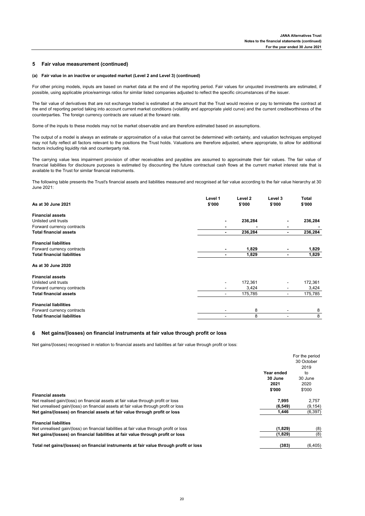### **5 Fair value measurement (continued)**

#### **(a) Fair value in an inactive or unquoted market (Level 2 and Level 3) (continued)**

For other pricing models, inputs are based on market data at the end of the reporting period. Fair values for unquoted investments are estimated, if possible, using applicable price/earnings ratios for similar listed companies adjusted to reflect the specific circumstances of the issuer.

The fair value of derivatives that are not exchange traded is estimated at the amount that the Trust would receive or pay to terminate the contract at the end of reporting period taking into account current market conditions (volatility and appropriate yield curve) and the current creditworthiness of the counterparties. The foreign currency contracts are valued at the forward rate.

Some of the inputs to these models may not be market observable and are therefore estimated based on assumptions.

The output of a model is always an estimate or approximation of a value that cannot be determined with certainty, and valuation techniques employed may not fully reflect all factors relevant to the positions the Trust holds. Valuations are therefore adjusted, where appropriate, to allow for additional factors including liquidity risk and counterparty risk.

The carrying value less impairment provision of other receivables and payables are assumed to approximate their fair values. The fair value of financial liabilities for disclosure purposes is estimated by discounting the future contractual cash flows at the current market interest rate that is available to the Trust for similar financial instruments.

The following table presents the Trust's financial assets and liabilities measured and recognised at fair value according to the fair value hierarchy at 30 June 2021:

|                                    | Level 1        | Level 2 | Level 3        | <b>Total</b> |
|------------------------------------|----------------|---------|----------------|--------------|
| As at 30 June 2021                 | \$'000         | \$'000  | \$'000         | \$'000       |
| <b>Financial assets</b>            |                |         |                |              |
| Unlisted unit trusts               |                | 236,284 | ٠              | 236,284      |
| Forward currency contracts         |                |         | ٠              |              |
| <b>Total financial assets</b>      | ٠              | 236,284 | ٠              | 236,284      |
| <b>Financial liabilities</b>       |                |         |                |              |
| Forward currency contracts         | $\blacksquare$ | 1,829   | $\blacksquare$ | 1,829        |
| <b>Total financial liabilities</b> |                | 1,829   | ٠              | 1,829        |
| As at 30 June 2020                 |                |         |                |              |
| <b>Financial assets</b>            |                |         |                |              |
| Unlisted unit trusts               |                | 172,361 |                | 172,361      |
| Forward currency contracts         |                | 3,424   | ۰.             | 3,424        |
| <b>Total financial assets</b>      | -              | 175,785 | ۰.             | 175,785      |
| <b>Financial liabilities</b>       |                |         |                |              |
| Forward currency contracts         |                | 8       |                | 8            |
| <b>Total financial liabilities</b> |                | 8       |                | 8            |

#### **6 Net gains/(losses) on financial instruments at fair value through profit or loss**

Net gains/(losses) recognised in relation to financial assets and liabilities at fair value through profit or loss:

|                                                                                          |            | For the period |
|------------------------------------------------------------------------------------------|------------|----------------|
|                                                                                          |            | 30 October     |
|                                                                                          |            | 2019           |
|                                                                                          | Year ended | to             |
|                                                                                          | 30 June    | 30 June        |
|                                                                                          | 2021       | 2020           |
|                                                                                          | \$'000     | \$'000         |
| <b>Financial assets</b>                                                                  |            |                |
| Net realised gain/(loss) on financial assets at fair value through profit or loss        | 7.995      | 2.757          |
| Net unrealised gain/(loss) on financial assets at fair value through profit or loss      | (6, 549)   | (9, 154)       |
| Net gains/(losses) on financial assets at fair value through profit or loss              | 1,446      | (6, 397)       |
| <b>Financial liabilities</b>                                                             |            |                |
| Net unrealised gain/(loss) on financial liabilities at fair value through profit or loss | (1,829)    | (8)            |
| Net gains/(losses) on financial liabilities at fair value through profit or loss         | (1,829)    | (8)            |
| Total net gains/(losses) on financial instruments at fair value through profit or loss   | (383)      | (6, 405)       |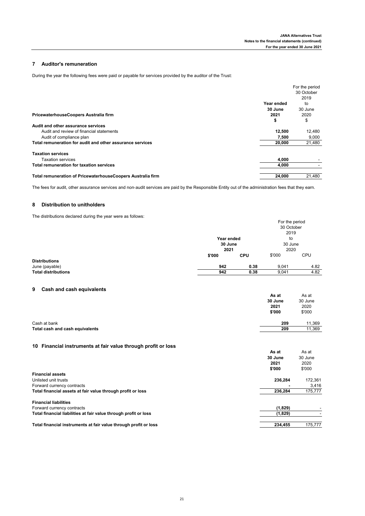## **7 Auditor's remuneration**

During the year the following fees were paid or payable for services provided by the auditor of the Trust:

|                                                             |            | For the period |
|-------------------------------------------------------------|------------|----------------|
|                                                             |            | 30 October     |
|                                                             |            | 2019           |
|                                                             | Year ended | to             |
|                                                             | 30 June    | 30 June        |
| PricewaterhouseCoopers Australia firm                       | 2021       | 2020           |
|                                                             | \$         | \$             |
| Audit and other assurance services                          |            |                |
| Audit and review of financial statements                    | 12.500     | 12,480         |
| Audit of compliance plan                                    | 7,500      | 9,000          |
| Total remuneration for audit and other assurance services   | 20,000     | 21,480         |
| <b>Taxation services</b>                                    |            |                |
| <b>Taxation services</b>                                    | 4.000      |                |
| Total remuneration for taxation services                    | 4,000      |                |
| Total remuneration of PricewaterhouseCoopers Australia firm | 24,000     | 21,480         |
|                                                             |            |                |

The fees for audit, other assurance services and non-audit services are paid by the Responsible Entity out of the administration fees that they earn.

## **8 Distribution to unitholders**

The distributions declared during the year were as follows:

|                            |            |            | For the period |            |
|----------------------------|------------|------------|----------------|------------|
|                            |            |            | 30 October     |            |
|                            |            |            | 2019           |            |
|                            | Year ended |            | to             |            |
|                            | 30 June    |            | 30 June        |            |
|                            | 2021       |            | 2020           |            |
|                            | \$'000     | <b>CPU</b> | \$'000         | <b>CPU</b> |
| <b>Distributions</b>       |            |            |                |            |
| June (payable)             | 942        | 0.38       | 9.041          | 4.82       |
| <b>Total distributions</b> | 942        | 0.38       | 9,041          | 4.82       |

## **9 Cash and cash equivalents**

|                                 | As at   | As at   |
|---------------------------------|---------|---------|
|                                 | 30 June | 30 June |
|                                 | 2021    | 2020    |
|                                 | \$'000  | \$'000  |
|                                 |         |         |
| Cash at bank                    | 209     | 11,369  |
| Total cash and cash equivalents | 209     | 11,369  |

## **10 Financial instruments at fair value through profit or loss**

|                                                                  | As at<br>30 June<br>2021<br>\$'000 | As at<br>30 June<br>2020<br>\$'000 |
|------------------------------------------------------------------|------------------------------------|------------------------------------|
| <b>Financial assets</b>                                          |                                    |                                    |
| Unlisted unit trusts                                             | 236.284                            | 172.361                            |
| Forward currency contracts                                       |                                    | 3,416                              |
| Total financial assets at fair value through profit or loss      | 236,284                            | 175,777                            |
| <b>Financial liabilities</b>                                     |                                    |                                    |
| Forward currency contracts                                       | (1,829)                            |                                    |
| Total financial liabilities at fair value through profit or loss | (1,829)                            |                                    |
| Total financial instruments at fair value through profit or loss | 234.455                            | 175,777                            |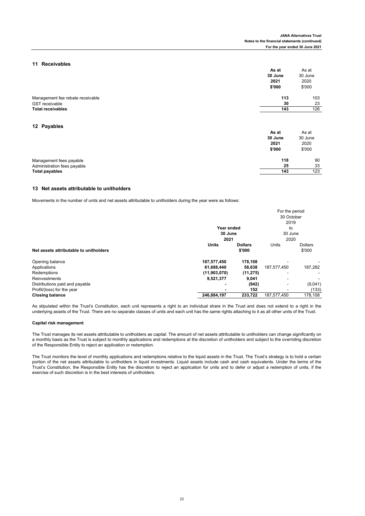**As at** As at

## **11 Receivables**

|                                                           | .<br>30 June<br>2021<br>\$'000 | .<br>30 June<br>2020<br>\$'000 |
|-----------------------------------------------------------|--------------------------------|--------------------------------|
| Management fee rebate receivable<br><b>GST</b> receivable | 113<br>30                      | 103<br>23                      |
| <b>Total receivables</b>                                  | 143                            | 126                            |
|                                                           |                                |                                |

## **12 Payables**

| IA I UJUNIVU                | As at<br>30 June<br>2021<br>\$'000 | As at<br>30 June<br>2020<br>\$'000 |
|-----------------------------|------------------------------------|------------------------------------|
| Management fees payable     | 118                                | 90                                 |
| Administration fees payable | 25                                 | 33                                 |
| <b>Total payables</b>       | 143                                | 123                                |

#### **13 Net assets attributable to unitholders**

Movements in the number of units and net assets attributable to unitholders during the year were as follows:

|                                        |              |                | For the period |                |
|----------------------------------------|--------------|----------------|----------------|----------------|
|                                        |              |                | 30 October     |                |
|                                        |              |                | 2019           |                |
|                                        | Year ended   |                | to             |                |
|                                        | 30 June      |                | 30 June        |                |
|                                        | 2021         |                | 2020           |                |
|                                        | <b>Units</b> | <b>Dollars</b> | Units          | <b>Dollars</b> |
| Net assets attributable to unitholders |              | \$'000         |                | \$'000         |
| Opening balance                        | 187,577,450  | 178,108        |                |                |
| Applications                           | 61,688,440   | 58,638         | 187,577,450    | 187,282        |
| Redemptions                            | (11,903,070) | (11, 275)      | ۰              |                |
| Reinvestments                          | 9,521,377    | 9,041          |                |                |
| Distributions paid and payable         |              | (942)          | ٠              | (9,041)        |
| Profit/(loss) for the year             |              | 152            |                | (133)          |
| <b>Closing balance</b>                 | 246,884,197  | 233,722        | 187,577,450    | 178,108        |

As stipulated within the Trust's Constitution, each unit represents a right to an individual share in the Trust and does not extend to a right in the underlying assets of the Trust. There are no separate classes of units and each unit has the same rights attaching to it as all other units of the Trust.

#### **Capital risk management**

The Trust manages its net assets attributable to unitholders as capital. The amount of net assets attributable to unitholders can change significantly on a monthly basis as the Trust is subject to monthly applications and redemptions at the discretion of unitholders and subject to the overriding discretion of the Responsible Entity to reject an application or redemption.

The Trust monitors the level of monthly applications and redemptions relative to the liquid assets in the Trust. The Trust's strategy is to hold a certain portion of the net assets attributable to unitholders in liquid investments. Liquid assets include cash and cash equivalents. Under the terms of the Trust's Constitution, the Responsible Entity has the discretion to reject an application for units and to defer or adjust a redemption of units, if the exercise of such discretion is in the best interests of unitholders.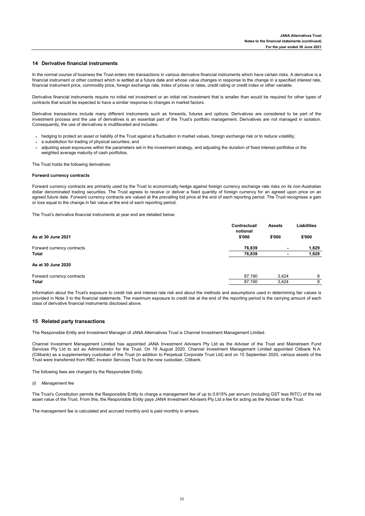### **14 Derivative financial instruments**

In the normal course of business the Trust enters into transactions in various derivative financial instruments which have certain risks. A derivative is a financial instrument or other contract which is settled at a future date and whose value changes in response to the change in a specified interest rate, financial instrument price, commodity price, foreign exchange rate, index of prices or rates, credit rating or credit index or other variable.

Derivative financial instruments require no initial net investment or an initial net investment that is smaller than would be required for other types of contracts that would be expected to have a similar response to changes in market factors.

Derivative transactions include many different instruments such as forwards, futures and options. Derivatives are considered to be part of the investment process and the use of derivatives is an essential part of the Trust's portfolio management. Derivatives are not managed in isolation. Consequently, the use of derivatives is multifaceted and includes:

- **-** hedging to protect an asset or liability of the Trust against a fluctuation in market values, foreign exchange risk or to reduce volatility;
- **-** a substitution for trading of physical securities; and
- adjusting asset exposures within the parameters set in the investment strategy, and adjusting the duration of fixed interest portfolios or the weighted average maturity of cash portfolios.

The Trust holds the following derivatives:

#### **Forward currency contracts**

Forward currency contracts are primarily used by the Trust to economically hedge against foreign currency exchange rate risks on its non-Australian dollar denominated trading securities. The Trust agrees to receive or deliver a fixed quantity of foreign currency for an agreed upon price on an agreed future date. Forward currency contracts are valued at the prevailing bid price at the end of each reporting period. The Trust recognises a gain or loss equal to the change in fair value at the end of each reporting period.

The Trust's derivative financial instruments at year end are detailed below:

|                            | Contractual/<br>notional | <b>Assets</b>  | <b>Liabilities</b> |
|----------------------------|--------------------------|----------------|--------------------|
| As at 30 June 2021         | \$'000                   | \$'000         | \$'000             |
| Forward currency contracts | 76.839                   | $\blacksquare$ | 1,829              |
| Total                      | 76,839                   | ۰              | 1,829              |
| As at 30 June 2020         |                          |                |                    |
| Forward currency contracts | 87.190                   | 3.424          | 8                  |

Information about the Trust's exposure to credit risk and interest rate risk and about the methods and assumptions used in determining fair values is provided in Note 3 to the financial statements. The maximum exposure to credit risk at the end of the reporting period is the carrying amount of each class of derivative financial instruments disclosed above.

**Total** 87,190 3,424 8

#### **15 Related party transactions**

The Responsible Entity and Investment Manager of JANA Alternatives Trust is Channel Investment Management Limited.

Channel Investment Management Limited has appointed JANA Investment Advisers Pty Ltd as the Adviser of the Trust and Mainstream Fund Services Pty Ltd to act as Administrator for the Trust. On 19 August 2020, Channel Investment Management Limited appointed Citibank N.A. (Citibank) as a supplementary custodian of the Trust (in addition to Perpetual Corporate Trust Ltd) and on 15 September 2020, various assets of the Trust were transferred from RBC Investor Services Trust to the new custodian, Citibank.

The following fees are charged by the Responsible Entity:

#### *(i) Management fee*

The Trust's Constitution permits the Responsible Entity to charge a management fee of up to 0.615% per annum (including GST less RITC) of the net asset value of the Trust. From this, the Responsible Entity pays JANA Investment Advisers Pty Ltd a fee for acting as the Adviser to the Trust.

The management fee is calculated and accrued monthly and is paid monthly in arrears.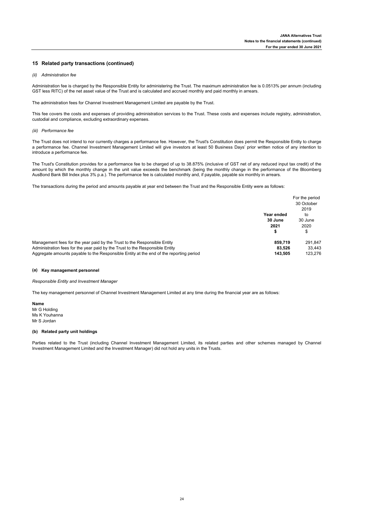#### **15 Related party transactions (continued)**

#### *(ii) Administration fee*

Administration fee is charged by the Responsible Entity for administering the Trust. The maximum administration fee is 0.0513% per annum (including GST less RITC) of the net asset value of the Trust and is calculated and accrued monthly and paid monthly in arrears.

The administration fees for Channel Investment Management Limited are payable by the Trust.

This fee covers the costs and expenses of providing administration services to the Trust. These costs and expenses include registry, administration, custodial and compliance, excluding extraordinary expenses.

#### *(iii) Performance fee*

The Trust does not intend to nor currently charges a performance fee. However, the Trust's Constitution does permit the Responsible Entity to charge a performance fee. Channel Investment Management Limited will give investors at least 50 Business Days' prior written notice of any intention to introduce a performance fee.

The Trust's Constitution provides for a performance fee to be charged of up to 38.875% (inclusive of GST net of any reduced input tax credit) of the amount by which the monthly change in the unit value exceeds the benchmark (being the monthly change in the performance of the Bloomberg AusBond Bank Bill Index plus 3% p.a.). The performance fee is calculated monthly and, if payable, payable six monthly in arrears.

The transactions during the period and amounts payable at year end between the Trust and the Responsible Entity were as follows:

|                                                                                        |            | For the period<br>30 October |
|----------------------------------------------------------------------------------------|------------|------------------------------|
|                                                                                        |            | 2019                         |
|                                                                                        | Year ended | to                           |
|                                                                                        | 30 June    | 30 June                      |
|                                                                                        | 2021       | 2020                         |
|                                                                                        |            | \$                           |
| Management fees for the year paid by the Trust to the Responsible Entity               | 859.719    | 291.847                      |
| Administration fees for the year paid by the Trust to the Responsible Entity           | 83.526     | 33.443                       |
| Aggregate amounts payable to the Responsible Entity at the end of the reporting period | 143.505    | 123.276                      |

#### **(a) Key management personnel**

*Responsible Entity and Investment Manager*

The key management personnel of Channel Investment Management Limited at any time during the financial year are as follows:

**Name**

Mr G Holding Ms K Youhanna Mr S Jordan

### **(b) Related party unit holdings**

Parties related to the Trust (including Channel Investment Management Limited, its related parties and other schemes managed by Channel Investment Management Limited and the Investment Manager) did not hold any units in the Trusts.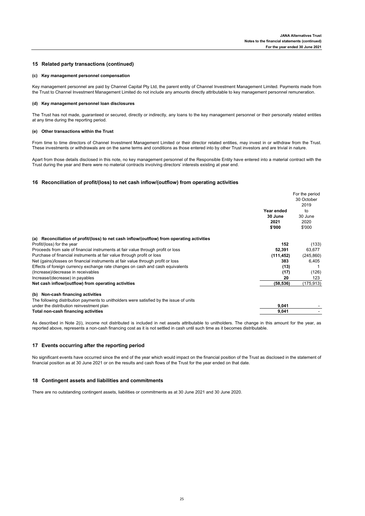## **15 Related party transactions (continued)**

#### **(c) Key management personnel compensation**

Key management personnel are paid by Channel Capital Pty Ltd, the parent entity of Channel Investment Management Limited. Payments made from the Trust to Channel Investment Management Limited do not include any amounts directly attributable to key management personnel remuneration.

#### **(d) Key management personnel loan disclosures**

The Trust has not made, guaranteed or secured, directly or indirectly, any loans to the key management personnel or their personally related entities at any time during the reporting period.

#### **(e) Other transactions within the Trust**

From time to time directors of Channel Investment Management Limited or their director related entities, may invest in or withdraw from the Trust. These investments or withdrawals are on the same terms and conditions as those entered into by other Trust investors and are trivial in nature.

Apart from those details disclosed in this note, no key management personnel of the Responsible Entity have entered into a material contract with the Trust during the year and there were no material contracts involving directors' interests existing at year end.

#### **16 Reconciliation of profit/(loss) to net cash inflow/(outflow) from operating activities**

|                                                                                            |            | For the period |
|--------------------------------------------------------------------------------------------|------------|----------------|
|                                                                                            |            | 30 October     |
|                                                                                            |            | 2019           |
|                                                                                            | Year ended | to             |
|                                                                                            | 30 June    | 30 June        |
|                                                                                            | 2021       | 2020           |
|                                                                                            | \$'000     | \$'000         |
| (a) Reconciliation of profit/(loss) to net cash inflow/(outflow) from operating activities |            |                |
| Profit/(loss) for the year                                                                 | 152        | (133)          |
| Proceeds from sale of financial instruments at fair value through profit or loss           | 52,391     | 63,677         |
| Purchase of financial instruments at fair value through profit or loss                     | (111, 452) | (245, 860)     |
| Net (gains)/losses on financial instruments at fair value through profit or loss           | 383        | 6,405          |
| Effects of foreign currency exchange rate changes on cash and cash equivalents             | (13)       |                |
| (Increase)/decrease in receivables                                                         | (17)       | (126)          |
| Increase/(decrease) in payables                                                            | 20         | 123            |
| Net cash inflow/(outflow) from operating activities                                        | (58, 536)  | (175, 913)     |
| (b) Non-cash financing activities                                                          |            |                |
| The following distribution payments to unitholders were satisfied by the issue of units    |            |                |
| under the distribution reinvestment plan                                                   | 9,041      |                |
| Total non-cash financing activities                                                        | 9,041      |                |
|                                                                                            |            |                |

As described in Note 2(i), income not distributed is included in net assets attributable to unitholders. The change in this amount for the year, as reported above, represents a non-cash financing cost as it is not settled in cash until such time as it becomes distributable.

#### **17 Events occurring after the reporting period**

No significant events have occurred since the end of the year which would impact on the financial position of the Trust as disclosed in the statement of financial position as at 30 June 2021 or on the results and cash flows of the Trust for the year ended on that date.

#### **18 Contingent assets and liabilities and commitments**

There are no outstanding contingent assets, liabilities or commitments as at 30 June 2021 and 30 June 2020.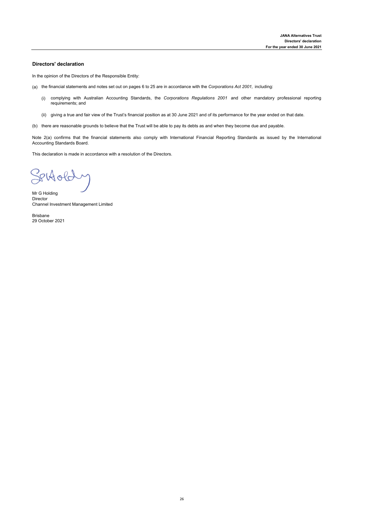## **Directors' declaration**

In the opinion of the Directors of the Responsible Entity:

- (a) the financial statements and notes set out on pages 6 to 25 are in accordance with the *Corporations Act 2001,* including:
	- (i) complying with Australian Accounting Standards, the *Corporations Regulations 2001* and other mandatory professional reporting requirements; and
	- (ii) giving a true and fair view of the Trust's financial position as at 30 June 2021 and of its performance for the year ended on that date.
- (b) there are reasonable grounds to believe that the Trust will be able to pay its debts as and when they become due and payable.

Note 2(a) confirms that the financial statements also comply with International Financial Reporting Standards as issued by the International Accounting Standards Board.

This declaration is made in accordance with a resolution of the Directors.

Settoldy

Mr G Holding Director Channel Investment Management Limited

Brisbane 29 October 2021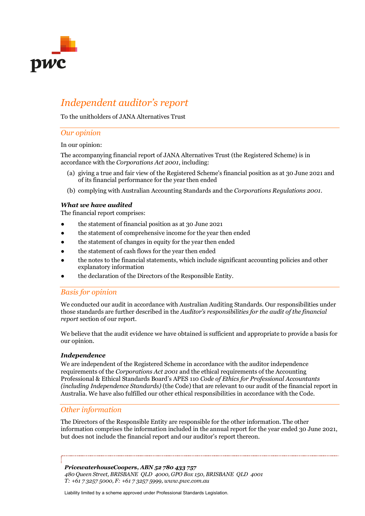

# *Independent auditor's report*

To the unitholders of JANA Alternatives Trust

## *Our opinion*

## In our opinion:

The accompanying financial report of JANA Alternatives Trust (the Registered Scheme) is in accordance with the *Corporations Act 2001*, including:

- (a) giving a true and fair view of the Registered Scheme's financial position as at 30 June 2021 and of its financial performance for the year then ended
- (b) complying with Australian Accounting Standards and the *Corporations Regulations 2001*.

## *What we have audited*

The financial report comprises:

- the statement of financial position as at 30 June 2021
- the statement of comprehensive income for the year then ended
- the statement of changes in equity for the year then ended
- the statement of cash flows for the year then ended
- the notes to the financial statements, which include significant accounting policies and other explanatory information
- the declaration of the Directors of the Responsible Entity.

# *Basis for opinion*

We conducted our audit in accordance with Australian Auditing Standards. Our responsibilities under those standards are further described in the *Auditor's responsibilities for the audit of the financial report* section of our report.

We believe that the audit evidence we have obtained is sufficient and appropriate to provide a basis for our opinion.

## *Independence*

We are independent of the Registered Scheme in accordance with the auditor independence requirements of the *Corporations Act 2001* and the ethical requirements of the Accounting Professional & Ethical Standards Board's APES 110 *Code of Ethics for Professional Accountants (including Independence Standards)* (the Code) that are relevant to our audit of the financial report in Australia. We have also fulfilled our other ethical responsibilities in accordance with the Code.

# *Other information*

The Directors of the Responsible Entity are responsible for the other information. The other information comprises the information included in the annual report for the year ended 30 June 2021, but does not include the financial report and our auditor's report thereon.

*PricewaterhouseCoopers, ABN 52 780 433 757 480 Queen Street, BRISBANE QLD 4000, GPO Box 150, BRISBANE QLD 4001 T: +61 7 3257 5000, F: +61 7 3257 5999, www.pwc.com.au*

Liability limited by a scheme approved under Professional Standards Legislation.